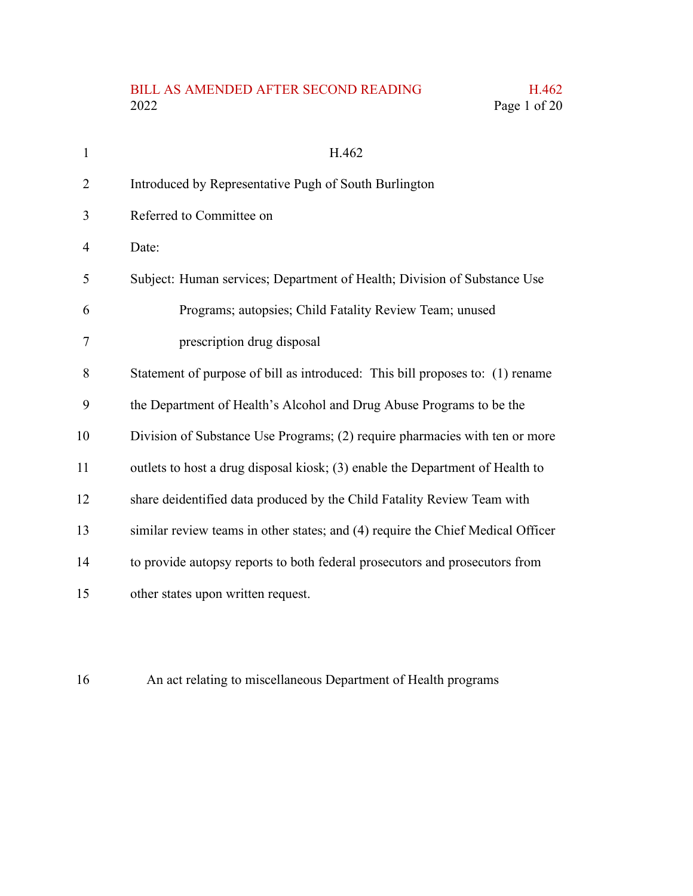## BILL AS AMENDED AFTER SECOND READING H.462<br>2022 Page 1 of 20 Page 1 of 20

| $\mathbf{1}$   | H.462                                                                           |
|----------------|---------------------------------------------------------------------------------|
| $\overline{2}$ | Introduced by Representative Pugh of South Burlington                           |
| 3              | Referred to Committee on                                                        |
| 4              | Date:                                                                           |
| 5              | Subject: Human services; Department of Health; Division of Substance Use        |
| 6              | Programs; autopsies; Child Fatality Review Team; unused                         |
| 7              | prescription drug disposal                                                      |
| 8              | Statement of purpose of bill as introduced: This bill proposes to: (1) rename   |
| 9              | the Department of Health's Alcohol and Drug Abuse Programs to be the            |
| 10             | Division of Substance Use Programs; (2) require pharmacies with ten or more     |
| 11             | outlets to host a drug disposal kiosk; (3) enable the Department of Health to   |
| 12             | share deidentified data produced by the Child Fatality Review Team with         |
| 13             | similar review teams in other states; and (4) require the Chief Medical Officer |
| 14             | to provide autopsy reports to both federal prosecutors and prosecutors from     |
| 15             | other states upon written request.                                              |

An act relating to miscellaneous Department of Health programs 16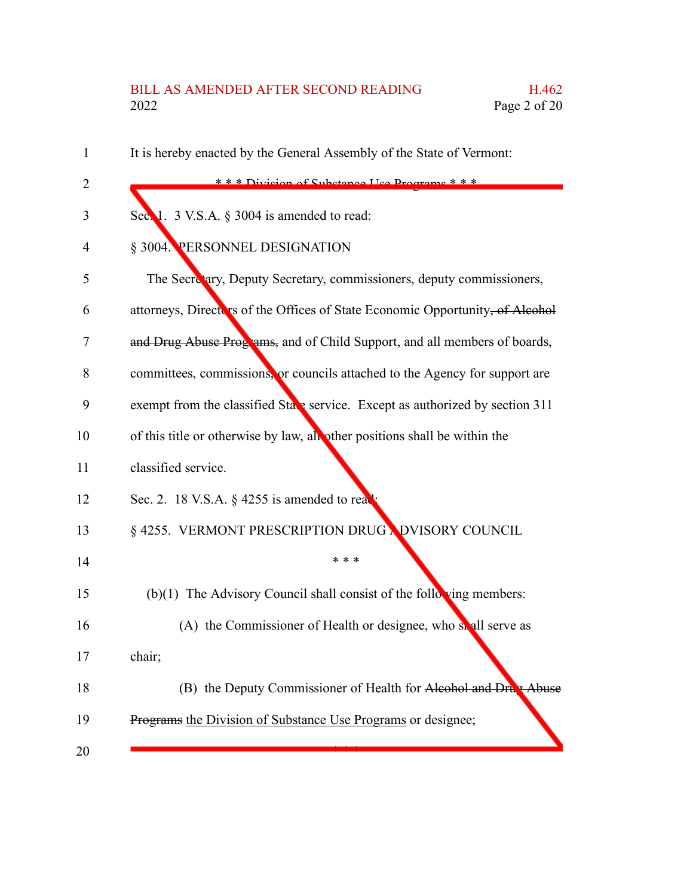## BILL AS AMENDED AFTER SECOND READING H.462<br>2022 Page 2 of 20 Page 2 of 20

| 1  | It is hereby enacted by the General Assembly of the State of Vermont:         |
|----|-------------------------------------------------------------------------------|
| 2  | *** Division of Substance He Drograms ***                                     |
| 3  | Sec. 1. 3 V.S.A. § 3004 is amended to read:                                   |
| 4  | § 3004. PERSONNEL DESIGNATION                                                 |
| 5  | The Secretary, Deputy Secretary, commissioners, deputy commissioners,         |
| 6  | attorneys, Directors of the Offices of State Economic Opportunity, of Alcohol |
| 7  | and Drug Abuse Programs, and of Child Support, and all members of boards,     |
| 8  | committees, commissions, or councils attached to the Agency for support are   |
| 9  | exempt from the classified State service. Except as authorized by section 311 |
| 10 | of this title or otherwise by law, all other positions shall be within the    |
| 11 | classified service.                                                           |
| 12 | Sec. 2. 18 V.S.A. $\S$ 4255 is amended to real                                |
| 13 | § 4255. VERMONT PRESCRIPTION DRUG NDVISORY COUNCIL                            |
| 14 | * * *                                                                         |
| 15 | $(b)(1)$ The Advisory Council shall consist of the following members:         |
| 16 | (A) the Commissioner of Health or designee, who solul serve as                |
| 17 | chair;                                                                        |
| 18 | (B) the Deputy Commissioner of Health for Alcohol and Drug Abuse              |
| 19 | Programs the Division of Substance Use Programs or designee;                  |
| 20 |                                                                               |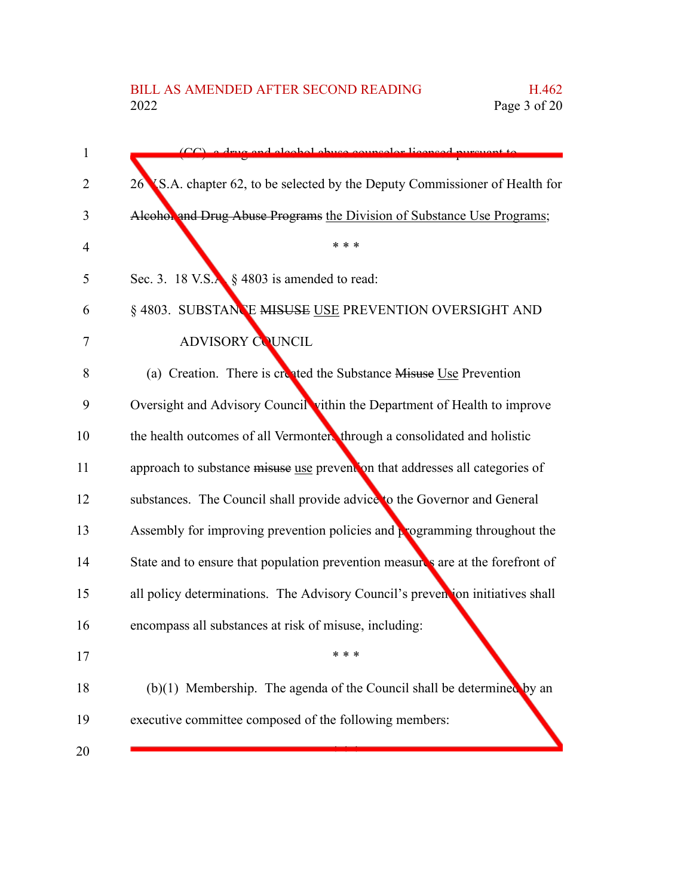| $\mathbf{1}$   | CC) a drug and algohol abyco councelor licensed pursuant to                     |
|----------------|---------------------------------------------------------------------------------|
| $\overline{2}$ | 26 S.A. chapter 62, to be selected by the Deputy Commissioner of Health for     |
| 3              | Alcohol and Drug Abuse Programs the Division of Substance Use Programs;         |
| 4              | * * *                                                                           |
| 5              | Sec. 3. 18 V.S. $\frac{1}{2}$ \$ 4803 is amended to read:                       |
| 6              | § 4803. SUBSTANCE MISUSE USE PREVENTION OVERSIGHT AND                           |
| 7              | <b>ADVISORY COUNCIL</b>                                                         |
| 8              | (a) Creation. There is created the Substance Misuse Use Prevention              |
| 9              | Oversight and Advisory Council vithin the Department of Health to improve       |
| 10             | the health outcomes of all Vermonters through a consolidated and holistic       |
| 11             | approach to substance misuse use prevention that addresses all categories of    |
| 12             | substances. The Council shall provide advice to the Governor and General        |
| 13             | Assembly for improving prevention policies and programming throughout the       |
| 14             | State and to ensure that population prevention measures are at the forefront of |
| 15             | all policy determinations. The Advisory Council's prevention initiatives shall  |
| 16             | encompass all substances at risk of misuse, including:                          |
| 17             |                                                                                 |
| 18             | $(b)(1)$ Membership. The agenda of the Council shall be determined by an        |
| 19             | executive committee composed of the following members:                          |
| 20             |                                                                                 |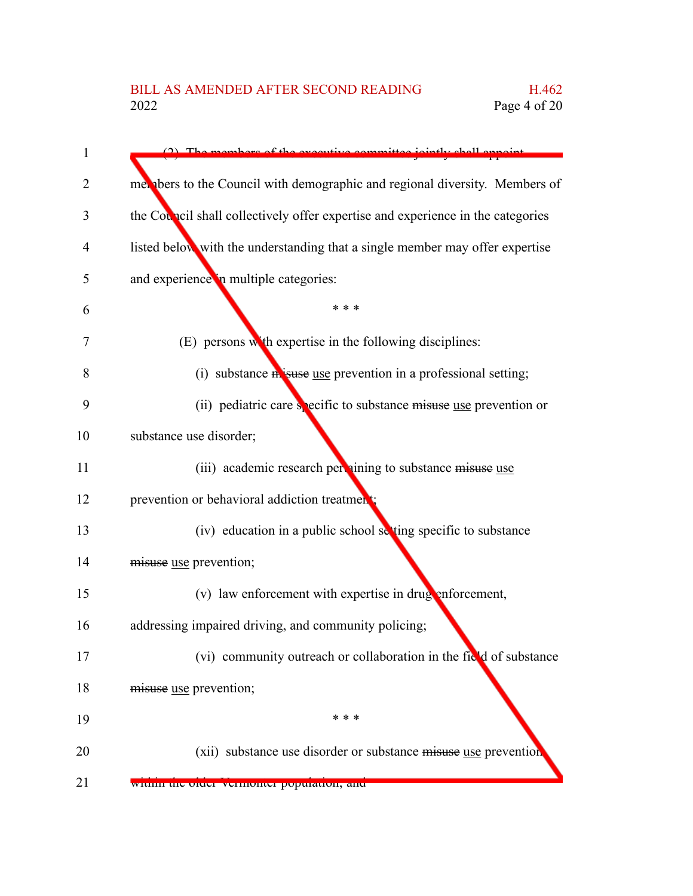| $\mathbf{1}$ | The members of the executive committee.<br><i>inintly chall annaint</i>         |
|--------------|---------------------------------------------------------------------------------|
| 2            | met about the Council with demographic and regional diversity. Members of       |
| 3            | the Council shall collectively offer expertise and experience in the categories |
| 4            | listed below with the understanding that a single member may offer expertise    |
| 5            | and experience in multiple categories:                                          |
| 6            | * * *                                                                           |
| 7            | (E) persons with expertise in the following disciplines:                        |
| 8            | (i) substance misuse use prevention in a professional setting;                  |
| 9            | (ii) pediatric care specific to substance misuse use prevention or              |
| 10           | substance use disorder;                                                         |
| 11           | (iii) academic research per nining to substance misuse use                      |
| 12           | prevention or behavioral addiction treatment;                                   |
| 13           | (iv) education in a public school setting specific to substance                 |
| 14           | misuse use prevention;                                                          |
| 15           | (v) law enforcement with expertise in drug enforcement,                         |
| 16           | addressing impaired driving, and community policing;                            |
| 17           | (vi) community outreach or collaboration in the field of substance              |
| 18           | misuse use prevention;                                                          |
| 19           | * * *                                                                           |
| 20           | (xii) substance use disorder or substance misuse use prevention                 |
| 21           | within the order vermonter population, and                                      |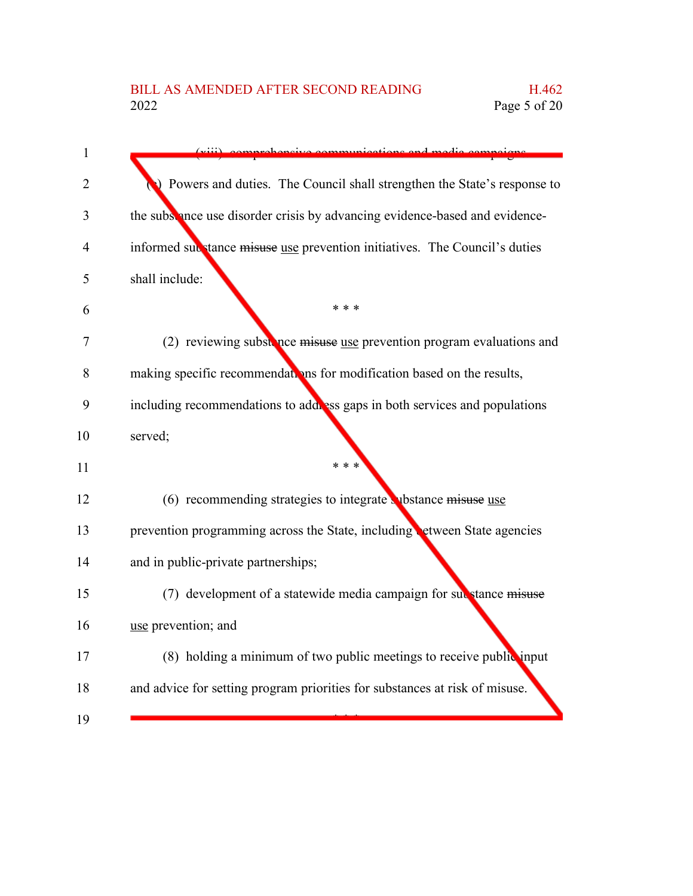| <i>icotions</i> and me                                                      |
|-----------------------------------------------------------------------------|
| ) Powers and duties. The Council shall strengthen the State's response to   |
| the subsence use disorder crisis by advancing evidence-based and evidence-  |
| informed substance misuse use prevention initiatives. The Council's duties  |
| shall include:                                                              |
| * * *                                                                       |
| (2) reviewing substance misuse use prevention program evaluations and       |
| making specific recommendations for modification based on the results,      |
| including recommendations to address gaps in both services and populations  |
| served;                                                                     |
| * * *                                                                       |
| $(6)$ recommending strategies to integrate whistance misuse use             |
| prevention programming across the State, including etween State agencies    |
| and in public-private partnerships;                                         |
| (7) development of a statewide media campaign for substance misuse          |
| use prevention; and                                                         |
| (8) holding a minimum of two public meetings to receive public input        |
| and advice for setting program priorities for substances at risk of misuse. |
|                                                                             |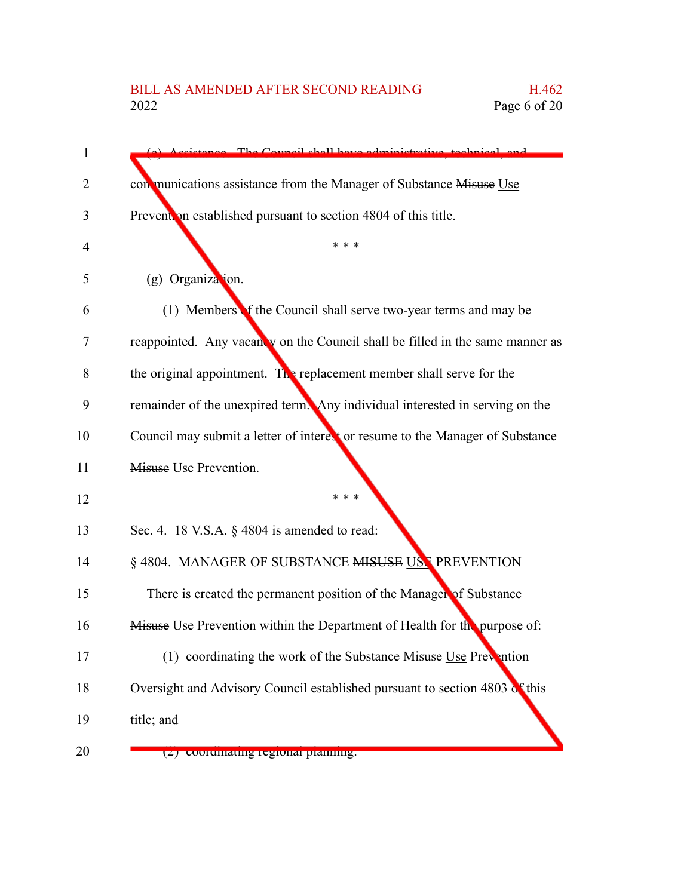| 1  | The Council shall have administrative technical and                           |
|----|-------------------------------------------------------------------------------|
| 2  | con munications assistance from the Manager of Substance Misuse Use           |
| 3  | Prevention established pursuant to section 4804 of this title.                |
| 4  | * * *                                                                         |
| 5  | (g) Organization.                                                             |
| 6  | (1) Members f the Council shall serve two-year terms and may be               |
| 7  | reappointed. Any vacanty on the Council shall be filled in the same manner as |
| 8  | the original appointment. The replacement member shall serve for the          |
| 9  | remainder of the unexpired term. Any individual interested in serving on the  |
| 10 | Council may submit a letter of interest or resume to the Manager of Substance |
| 11 | Misuse Use Prevention.                                                        |
| 12 | * * *                                                                         |
| 13 | Sec. 4. 18 V.S.A. $\S$ 4804 is amended to read:                               |
| 14 | § 4804. MANAGER OF SUBSTANCE MISUSE USE PREVENTION                            |
| 15 | There is created the permanent position of the Manager of Substance           |
| 16 | Misuse Use Prevention within the Department of Health for the purpose of:     |
| 17 | (1) coordinating the work of the Substance Misuse Use Prevention              |
| 18 | Oversight and Advisory Council established pursuant to section 4803 of this   |
| 19 | title; and                                                                    |
| 20 | (2) coorumanng regional planning.                                             |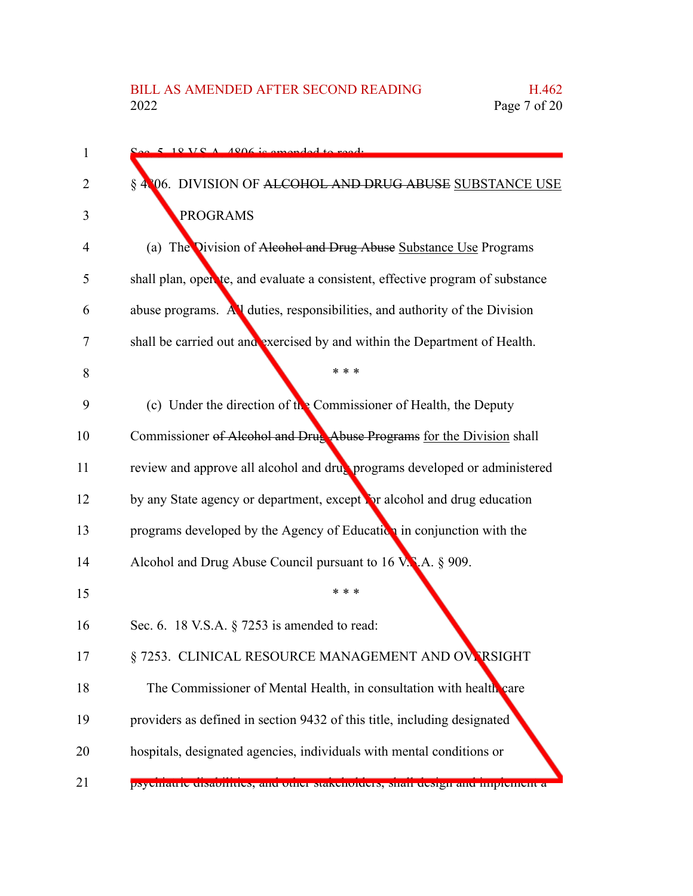| 1  | $5.18 \text{ V} \text{C}$ $\Lambda$ 4806 is amonded to read.                   |
|----|--------------------------------------------------------------------------------|
| 2  | § 4806. DIVISION OF ALCOHOL AND DRUG ABUSE SUBSTANCE USE                       |
| 3  | <b>PROGRAMS</b>                                                                |
| 4  | (a) The Division of Alcohol and Drug Abuse Substance Use Programs              |
| 5  | shall plan, open te, and evaluate a consistent, effective program of substance |
| 6  | abuse programs. All duties, responsibilities, and authority of the Division    |
| 7  | shall be carried out and exercised by and within the Department of Health.     |
| 8  | * * *                                                                          |
| 9  | (c) Under the direction of the Commissioner of Health, the Deputy              |
| 10 | Commissioner of Alcohol and Drug Abuse Programs for the Division shall         |
| 11 | review and approve all alcohol and drug programs developed or administered     |
| 12 | by any State agency or department, except for alcohol and drug education       |
| 13 | programs developed by the Agency of Education in conjunction with the          |
| 14 | Alcohol and Drug Abuse Council pursuant to 16 V.N.A. § 909.                    |
| 15 | * * *                                                                          |
| 16 | Sec. 6. 18 V.S.A. § 7253 is amended to read:                                   |
| 17 | § 7253. CLINICAL RESOURCE MANAGEMENT AND OVERSIGHT                             |
| 18 | The Commissioner of Mental Health, in consultation with health care            |
| 19 | providers as defined in section 9432 of this title, including designated       |
| 20 | hospitals, designated agencies, individuals with mental conditions or          |
| 21 | рхустанте сизалитися, ана опіст максионасть, міан асміди ана пирісністі а      |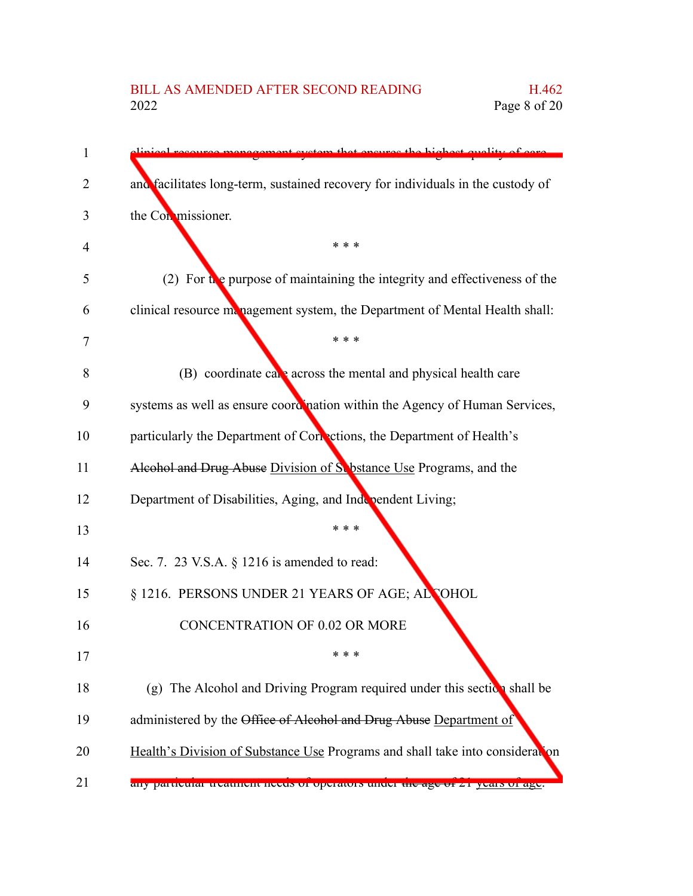| 1  | recourse management system that ensures the highest quality of eare                      |
|----|------------------------------------------------------------------------------------------|
| 2  | and facilitates long-term, sustained recovery for individuals in the custody of          |
| 3  | the Conmissioner.                                                                        |
| 4  | * * *                                                                                    |
| 5  | (2) For $\mathbf{t}$ e purpose of maintaining the integrity and effectiveness of the     |
| 6  | clinical resource management system, the Department of Mental Health shall:              |
| 7  | * * *                                                                                    |
| 8  | (B) coordinate care across the mental and physical health care                           |
| 9  | systems as well as ensure coordination within the Agency of Human Services,              |
| 10 | particularly the Department of Corrections, the Department of Health's                   |
| 11 | Alcohol and Drug Abuse Division of S. bstance Use Programs, and the                      |
| 12 | Department of Disabilities, Aging, and Independent Living;                               |
| 13 | * * *                                                                                    |
| 14 | Sec. 7. 23 V.S.A. § 1216 is amended to read:                                             |
| 15 | § 1216. PERSONS UNDER 21 YEARS OF AGE; ALCOHOL                                           |
| 16 | <b>CONCENTRATION OF 0.02 OR MORE</b>                                                     |
| 17 | * * *                                                                                    |
| 18 | (g) The Alcohol and Driving Program required under this section shall be                 |
| 19 | administered by the Office of Alcohol and Drug Abuse Department of                       |
| 20 | Health's Division of Substance Use Programs and shall take into consideration            |
| 21 | any particular treatment necus of operators under <del>the age of</del> 21 years of age. |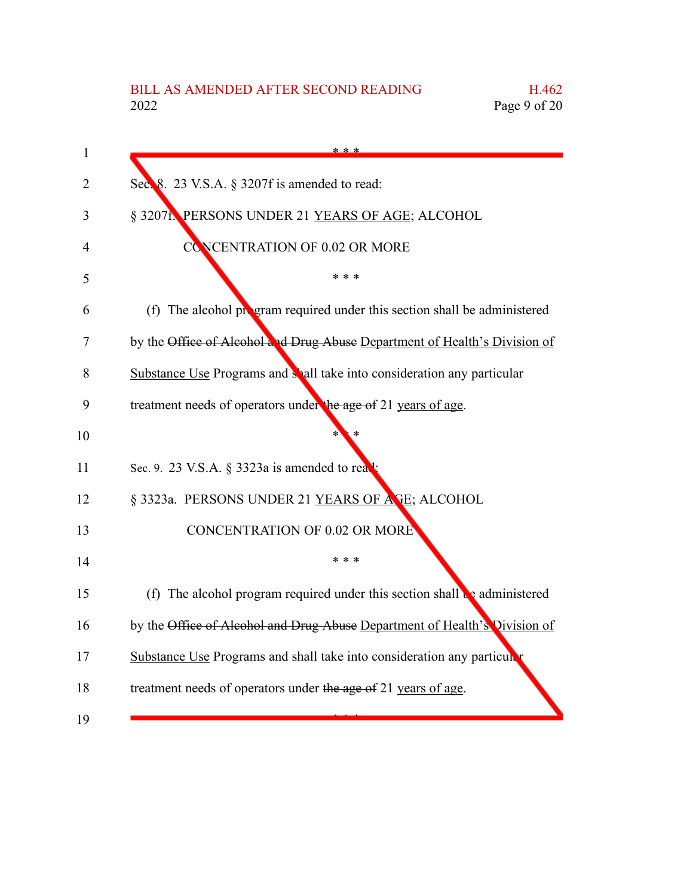| 1  | * * *                                                                                 |
|----|---------------------------------------------------------------------------------------|
| 2  | Sec. 8. 23 V.S.A. § 3207f is amended to read:                                         |
| 3  | § 3207f. PERSONS UNDER 21 YEARS OF AGE; ALCOHOL                                       |
| 4  | <b>CONCENTRATION OF 0.02 OR MORE</b>                                                  |
| 5  | * * *                                                                                 |
| 6  | (f) The alcohol program required under this section shall be administered             |
| 7  | by the Office of Alcohol and Drug Abuse Department of Health's Division of            |
| 8  | Substance Use Programs and shall take into consideration any particular               |
| 9  | treatment needs of operators under the age of 21 years of age.                        |
| 10 |                                                                                       |
| 11 | Sec. 9. 23 V.S.A. § 3323a is amended to rea                                           |
| 12 | § 3323a. PERSONS UNDER 21 YEARS OF ASE; ALCOHOL                                       |
| 13 | <b>CONCENTRATION OF 0.02 OR MORE</b>                                                  |
| 14 | * * *                                                                                 |
| 15 | (f) The alcohol program required under this section shall $\mathbf{e}_2$ administered |
| 16 | by the Office of Alcohol and Drug Abuse Department of Health's Division of            |
| 17 | Substance Use Programs and shall take into consideration any particular               |
| 18 | treatment needs of operators under the age of 21 years of age.                        |
| 19 |                                                                                       |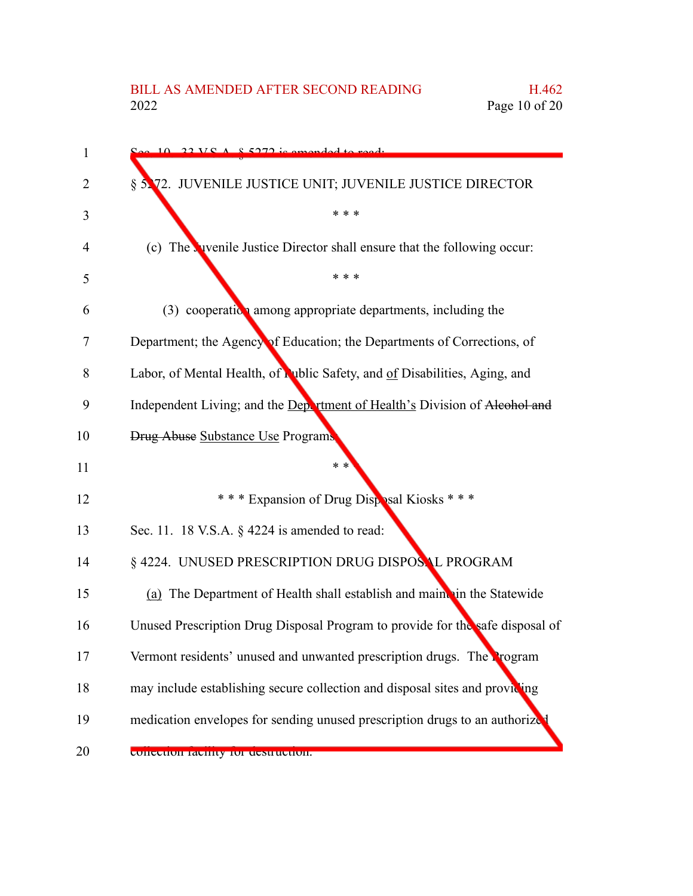| 1  | $22 \text{ V} \text{C}$ $\Lambda$ $\text{R}$ 5272 is amonded to ready         |
|----|-------------------------------------------------------------------------------|
| 2  | § 5.72. JUVENILE JUSTICE UNIT; JUVENILE JUSTICE DIRECTOR                      |
| 3  | * * *                                                                         |
| 4  | (c) The vivenile Justice Director shall ensure that the following occur:      |
| 5  | * * *                                                                         |
| 6  | $(3)$ cooperation among appropriate departments, including the                |
| 7  | Department; the Agency of Education; the Departments of Corrections, of       |
| 8  | Labor, of Mental Health, of Public Safety, and of Disabilities, Aging, and    |
| 9  | Independent Living; and the Department of Health's Division of Alcohol and    |
| 10 | <b>Drug Abuse Substance Use Programs</b>                                      |
| 11 | * *                                                                           |
| 12 | *** Expansion of Drug Disposal Kiosks ***                                     |
| 13 | Sec. 11. 18 V.S.A. § 4224 is amended to read:                                 |
| 14 | § 4224. UNUSED PRESCRIPTION DRUG DISPOSAL PROGRAM                             |
| 15 | (a) The Department of Health shall establish and maint in the Statewide       |
| 16 | Unused Prescription Drug Disposal Program to provide for the safe disposal of |
| 17 | Vermont residents' unused and unwanted prescription drugs. The Program        |
| 18 | may include establishing secure collection and disposal sites and providing   |
| 19 | medication envelopes for sending unused prescription drugs to an authorize    |
| 20 | CONCUNON TAUNITY TOF UUSH HULHON.                                             |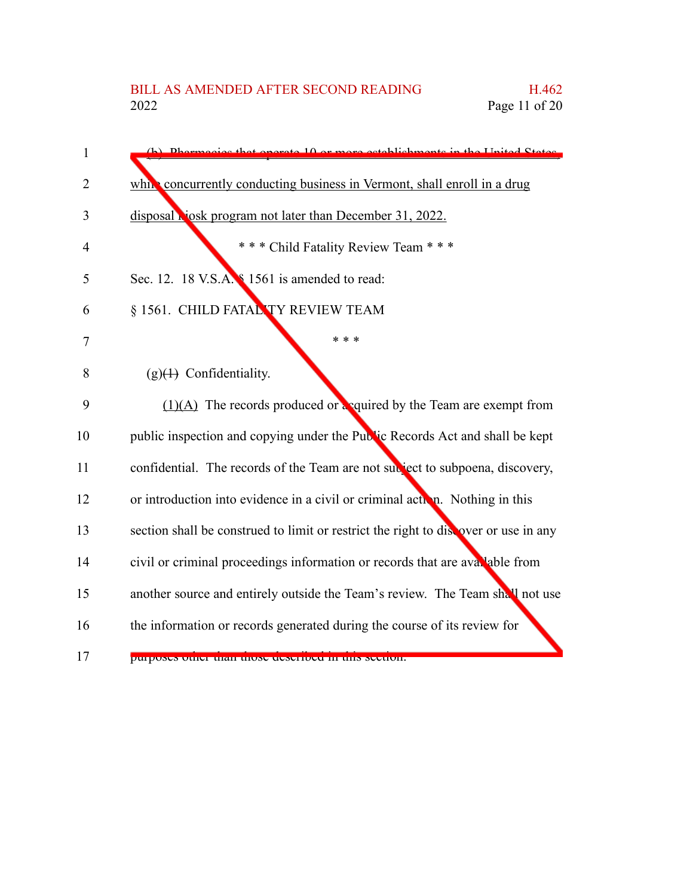| 1              | (b) Dhermoeige that operate 10 or more establishments in the United States          |
|----------------|-------------------------------------------------------------------------------------|
| $\overline{2}$ | while concurrently conducting business in Vermont, shall enroll in a drug           |
| 3              | disposal <b>Nosk</b> program not later than December 31, 2022.                      |
| $\overline{4}$ | *** Child Fatality Review Team ***                                                  |
| 5              | Sec. 12. 18 V.S.A. § 1561 is amended to read:                                       |
| 6              | § 1561. CHILD FATAL TY REVIEW TEAM                                                  |
| 7              | * * *                                                                               |
| 8              | $(g)(4)$ Confidentiality.                                                           |
| 9              | $(1)(A)$ The records produced or equired by the Team are exempt from                |
| 10             | public inspection and copying under the Public Records Act and shall be kept        |
| 11             | confidential. The records of the Team are not subject to subpoena, discovery,       |
| 12             | or introduction into evidence in a civil or criminal action. Nothing in this        |
| 13             | section shall be construed to limit or restrict the right to discover or use in any |
| 14             | civil or criminal proceedings information or records that are available from        |
| 15             | another source and entirely outside the Team's review. The Team shall not use       |
| 16             | the information or records generated during the course of its review for            |
| 17             | purposes quier man mose aeserbea in uns secuent.                                    |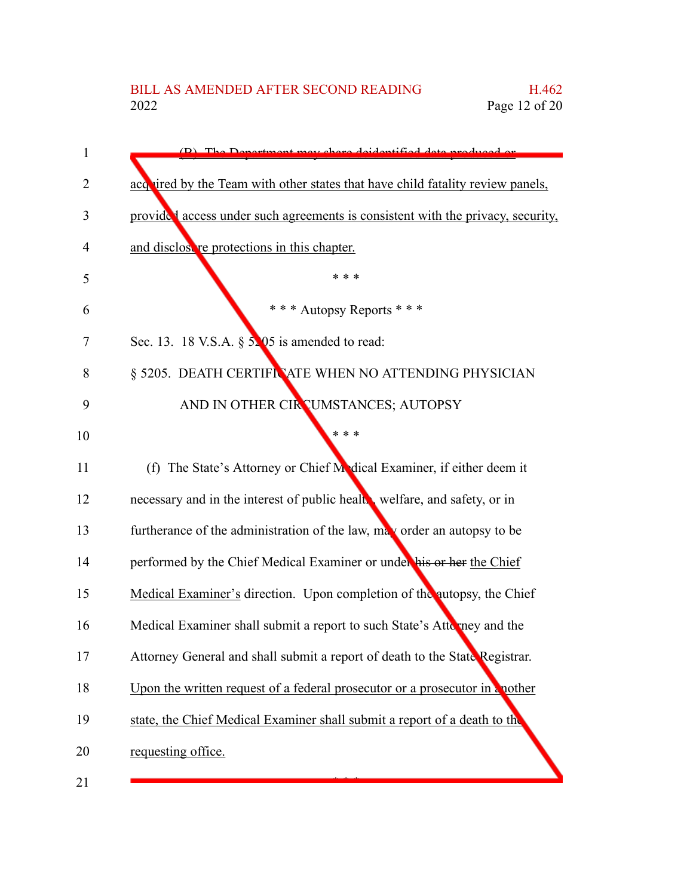| 1              | (B) The Department may charge deidentified data readyord or                     |
|----------------|---------------------------------------------------------------------------------|
| $\overline{2}$ | acquired by the Team with other states that have child fatality review panels,  |
| 3              | provided access under such agreements is consistent with the privacy, security, |
| 4              | and disclosure protections in this chapter.                                     |
| 5              | * * *                                                                           |
| 6              | * * * Autopsy Reports * * *                                                     |
| 7              | Sec. 13. 18 V.S.A. $\S$ 5.05 is amended to read:                                |
| 8              | § 5205. DEATH CERTIFICATE WHEN NO ATTENDING PHYSICIAN                           |
| 9              | AND IN OTHER CIRCUMSTANCES; AUTOPSY                                             |
| 10             | * * *                                                                           |
| 11             | (f) The State's Attorney or Chief Medical Examiner, if either deem it           |
| 12             | necessary and in the interest of public healt, welfare, and safety, or in       |
| 13             | furtherance of the administration of the law, may order an autopsy to be        |
| 14             | performed by the Chief Medical Examiner or under his or her the Chief           |
| 15             | Medical Examiner's direction. Upon completion of the autopsy, the Chief         |
| 16             | Medical Examiner shall submit a report to such State's Attomacy and the         |
| 17             | Attorney General and shall submit a report of death to the State Registrar.     |
| 18             | Upon the written request of a federal prosecutor or a prosecutor in a nother    |
| 19             | state, the Chief Medical Examiner shall submit a report of a death to the       |
| 20             | requesting office.                                                              |
| 21             |                                                                                 |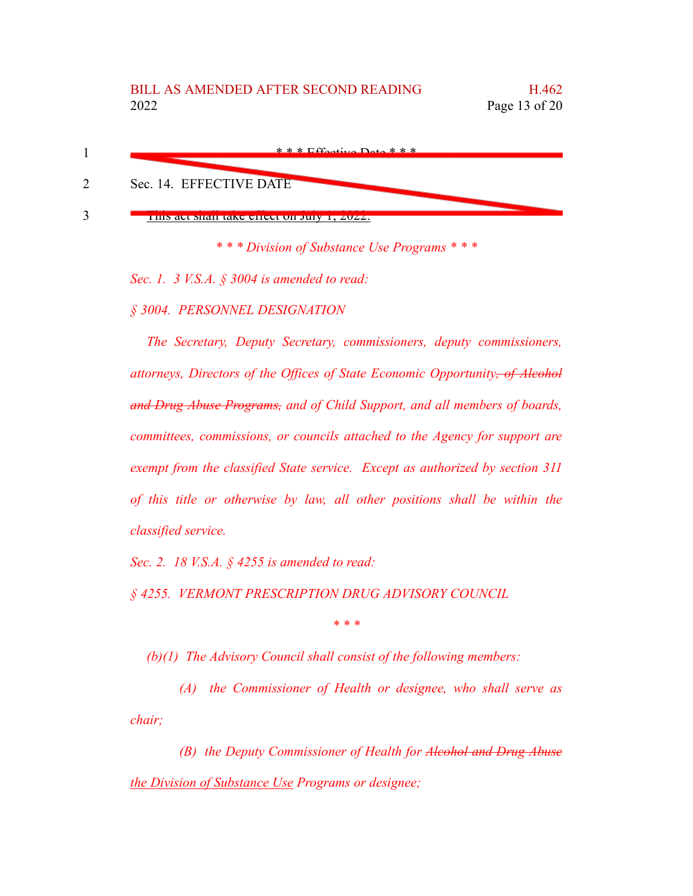

*\* \* \* Division of Substance Use Programs \* \* \**

*Sec. 1. 3 V.S.A. § 3004 is amended to read:*

*§ 3004. PERSONNEL DESIGNATION*

*The Secretary, Deputy Secretary, commissioners, deputy commissioners, attorneys, Directors of the Offices of State Economic Opportunity, of Alcohol and Drug Abuse Programs, and of Child Support, and all members of boards, committees, commissions, or councils attached to the Agency for support are exempt from the classified State service. Except as authorized by section 311 of this title or otherwise by law, all other positions shall be within the classified service.*

*Sec. 2. 18 V.S.A. § 4255 is amended to read:*

*§ 4255. VERMONT PRESCRIPTION DRUG ADVISORY COUNCIL*

*\* \* \**

*(b)(1) The Advisory Council shall consist of the following members:*

*(A) the Commissioner of Health or designee, who shall serve as chair;*

*(B) the Deputy Commissioner of Health for Alcohol and Drug Abuse the Division of Substance Use Programs or designee;*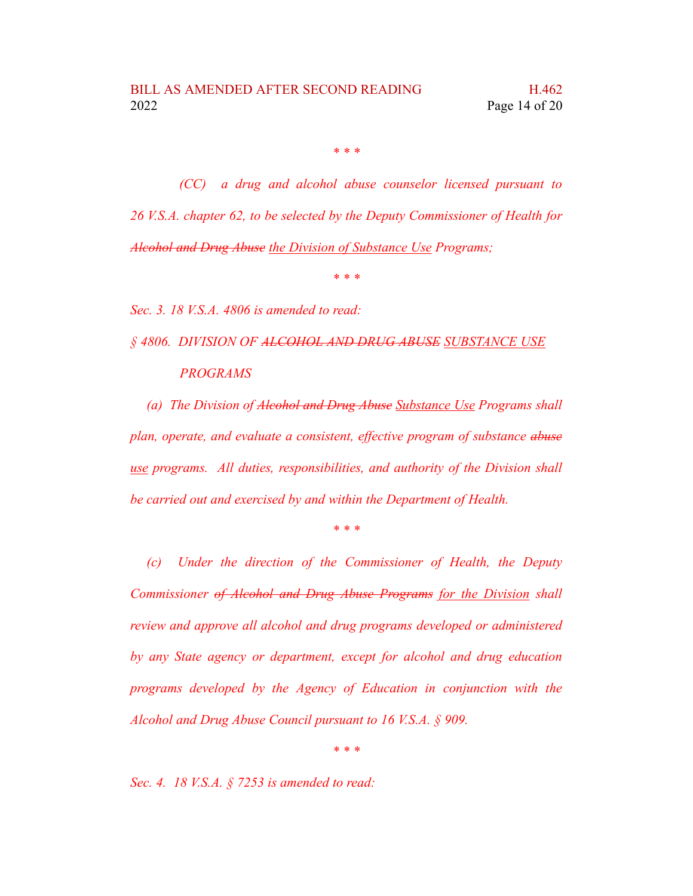*\* \* \**

*(CC) a drug and alcohol abuse counselor licensed pursuant to 26 V.S.A. chapter 62, to be selected by the Deputy Commissioner of Health for Alcohol and Drug Abuse the Division of Substance Use Programs;*

*\* \* \**

*Sec. 3. 18 V.S.A. 4806 is amended to read:*

*§ 4806. DIVISION OF ALCOHOL AND DRUG ABUSE SUBSTANCE USE PROGRAMS*

*(a) The Division of Alcohol and Drug Abuse Substance Use Programs shall plan, operate, and evaluate a consistent, effective program of substance abuse use programs. All duties, responsibilities, and authority of the Division shall be carried out and exercised by and within the Department of Health.*

*\* \* \**

*(c) Under the direction of the Commissioner of Health, the Deputy Commissioner of Alcohol and Drug Abuse Programs for the Division shall review and approve all alcohol and drug programs developed or administered by any State agency or department, except for alcohol and drug education programs developed by the Agency of Education in conjunction with the Alcohol and Drug Abuse Council pursuant to 16 V.S.A. § 909.*

*\* \* \**

*Sec. 4. 18 V.S.A. § 7253 is amended to read:*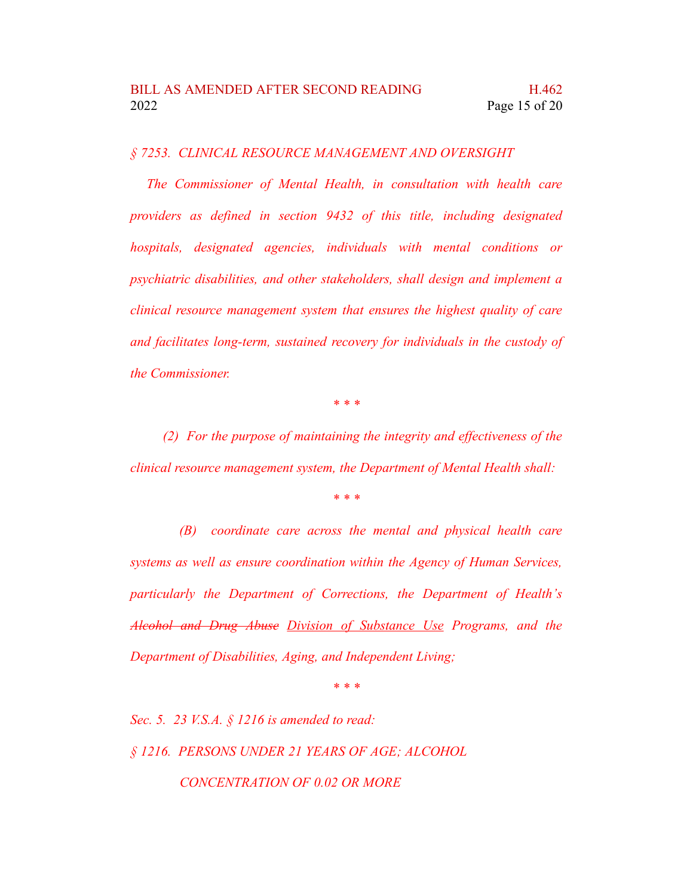*§ 7253. CLINICAL RESOURCE MANAGEMENT AND OVERSIGHT*

*The Commissioner of Mental Health, in consultation with health care providers as defined in section 9432 of this title, including designated hospitals, designated agencies, individuals with mental conditions or psychiatric disabilities, and other stakeholders, shall design and implement a clinical resource management system that ensures the highest quality of care and facilitates long-term, sustained recovery for individuals in the custody of the Commissioner.*

*\* \* \**

*(2) For the purpose of maintaining the integrity and effectiveness of the clinical resource management system, the Department of Mental Health shall:*

*\* \* \**

*(B) coordinate care across the mental and physical health care systems as well as ensure coordination within the Agency of Human Services, particularly the Department of Corrections, the Department of Health's Alcohol and Drug Abuse Division of Substance Use Programs, and the Department of Disabilities, Aging, and Independent Living;*

*\* \* \**

*Sec. 5. 23 V.S.A. § 1216 is amended to read: § 1216. PERSONS UNDER 21 YEARS OF AGE; ALCOHOL CONCENTRATION OF 0.02 OR MORE*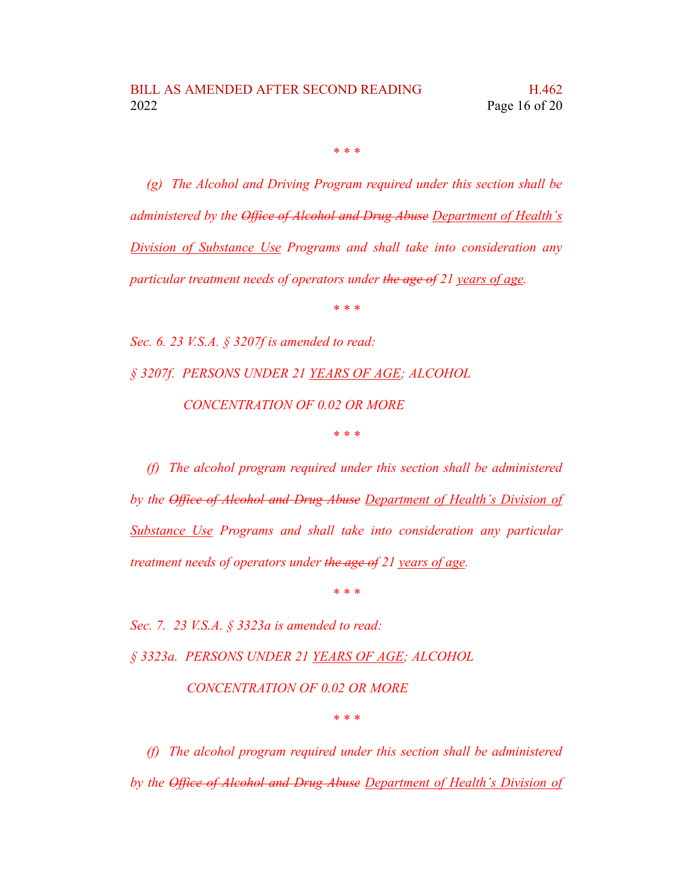*\* \* \**

*(g) The Alcohol and Driving Program required under this section shall be administered by the Office of Alcohol and Drug Abuse Department of Health's Division of Substance Use Programs and shall take into consideration any particular treatment needs of operators under the age of 21 years of age.*

*\* \* \**

*Sec. 6. 23 V.S.A. § 3207f is amended to read: § 3207f. PERSONS UNDER 21 YEARS OF AGE; ALCOHOL CONCENTRATION OF 0.02 OR MORE \* \* \**

*(f) The alcohol program required under this section shall be administered by the Office of Alcohol and Drug Abuse Department of Health's Division of Substance Use Programs and shall take into consideration any particular treatment needs of operators under the age of 21 years of age.*

*\* \* \**

*Sec. 7. 23 V.S.A. § 3323a is amended to read:*

*§ 3323a. PERSONS UNDER 21 YEARS OF AGE; ALCOHOL*

*CONCENTRATION OF 0.02 OR MORE*

*\* \* \**

*(f) The alcohol program required under this section shall be administered by the Office of Alcohol and Drug Abuse Department of Health's Division of*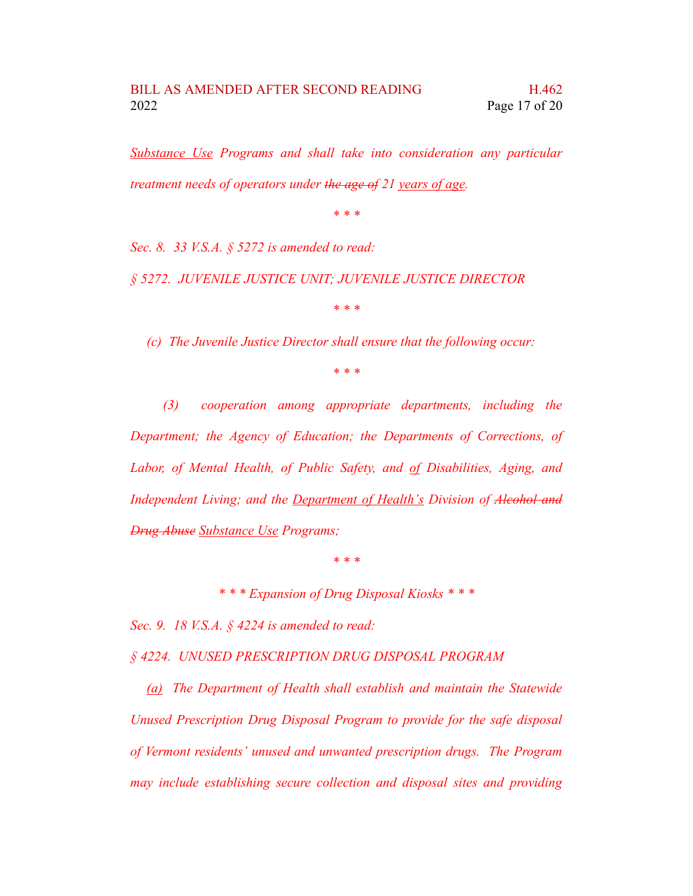*Substance Use Programs and shall take into consideration any particular treatment needs of operators under the age of 21 years of age.*

*\* \* \**

*Sec. 8. 33 V.S.A. § 5272 is amended to read:*

*§ 5272. JUVENILE JUSTICE UNIT; JUVENILE JUSTICE DIRECTOR*

*\* \* \**

*(c) The Juvenile Justice Director shall ensure that the following occur:*

*\* \* \**

*(3) cooperation among appropriate departments, including the Department; the Agency of Education; the Departments of Corrections, of Labor, of Mental Health, of Public Safety, and of Disabilities, Aging, and Independent Living; and the Department of Health's Division of Alcohol and Drug Abuse Substance Use Programs;*

*\* \* \**

*\* \* \* Expansion of Drug Disposal Kiosks \* \* \**

*Sec. 9. 18 V.S.A. § 4224 is amended to read:*

*§ 4224. UNUSED PRESCRIPTION DRUG DISPOSAL PROGRAM*

*(a) The Department of Health shall establish and maintain the Statewide Unused Prescription Drug Disposal Program to provide for the safe disposal of Vermont residents' unused and unwanted prescription drugs. The Program may include establishing secure collection and disposal sites and providing*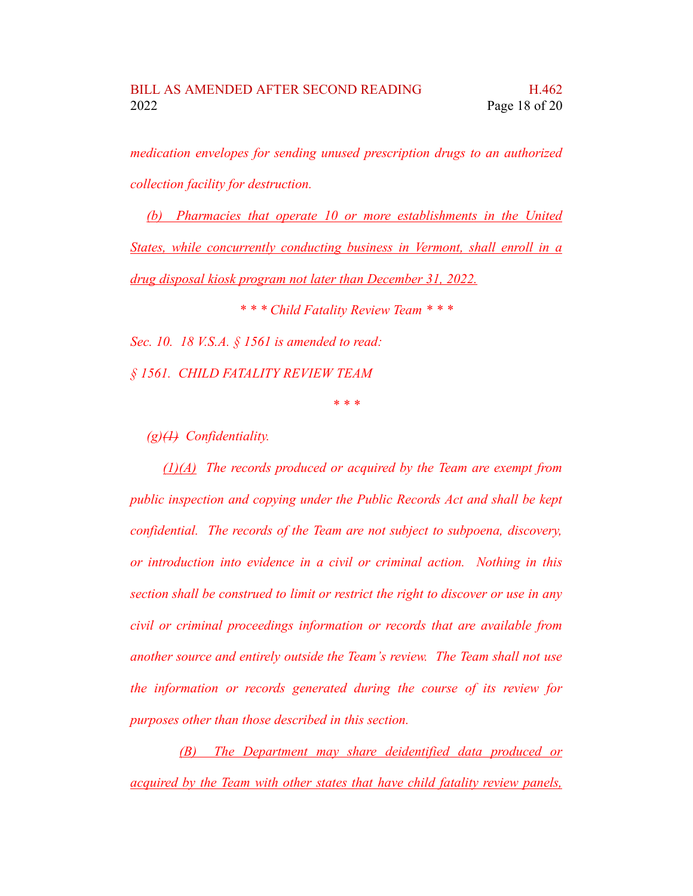*medication envelopes for sending unused prescription drugs to an authorized collection facility for destruction.*

*(b) Pharmacies that operate 10 or more establishments in the United States, while concurrently conducting business in Vermont, shall enroll in a drug disposal kiosk program not later than December 31, 2022.*

*\* \* \* Child Fatality Review Team \* \* \* Sec. 10. 18 V.S.A. § 1561 is amended to read: § 1561. CHILD FATALITY REVIEW TEAM*

*\* \* \**

*(g)(1) Confidentiality.*

*(1)(A) The records produced or acquired by the Team are exempt from public inspection and copying under the Public Records Act and shall be kept confidential. The records of the Team are not subject to subpoena, discovery, or introduction into evidence in a civil or criminal action. Nothing in this section shall be construed to limit or restrict the right to discover or use in any civil or criminal proceedings information or records that are available from another source and entirely outside the Team's review. The Team shall not use the information or records generated during the course of its review for purposes other than those described in this section.*

*(B) The Department may share deidentified data produced or acquired by the Team with other states that have child fatality review panels,*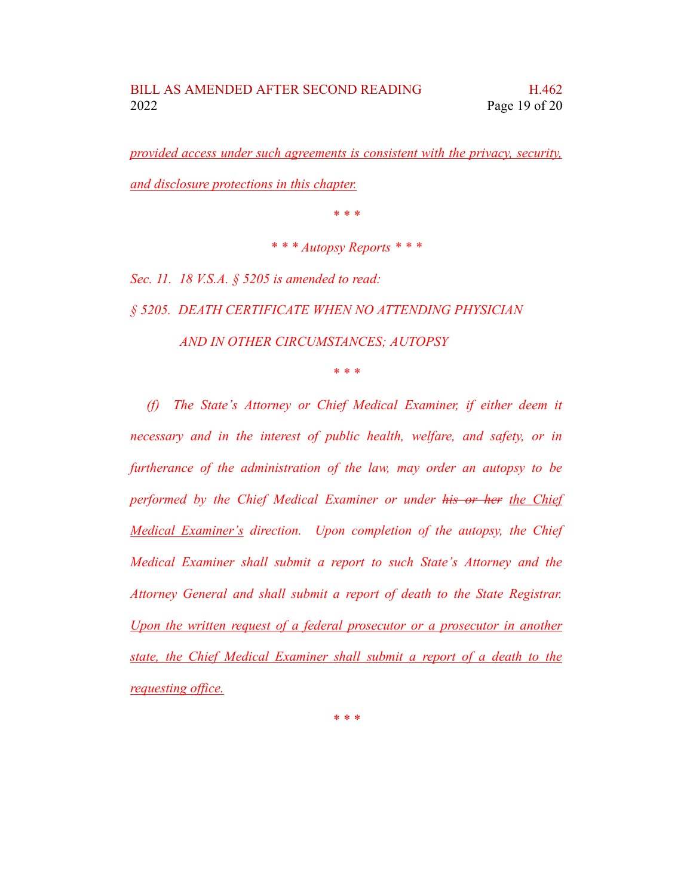*provided access under such agreements is consistent with the privacy, security, and disclosure protections in this chapter.*

*\* \* \**

*\* \* \* Autopsy Reports \* \* \**

*Sec. 11. 18 V.S.A. § 5205 is amended to read:*

*§ 5205. DEATH CERTIFICATE WHEN NO ATTENDING PHYSICIAN AND IN OTHER CIRCUMSTANCES; AUTOPSY*

*\* \* \**

*(f) The State's Attorney or Chief Medical Examiner, if either deem it necessary and in the interest of public health, welfare, and safety, or in furtherance of the administration of the law, may order an autopsy to be performed by the Chief Medical Examiner or under his or her the Chief Medical Examiner's direction. Upon completion of the autopsy, the Chief Medical Examiner shall submit a report to such State's Attorney and the Attorney General and shall submit a report of death to the State Registrar. Upon the written request of a federal prosecutor or a prosecutor in another state, the Chief Medical Examiner shall submit a report of a death to the requesting office.*

*\* \* \**